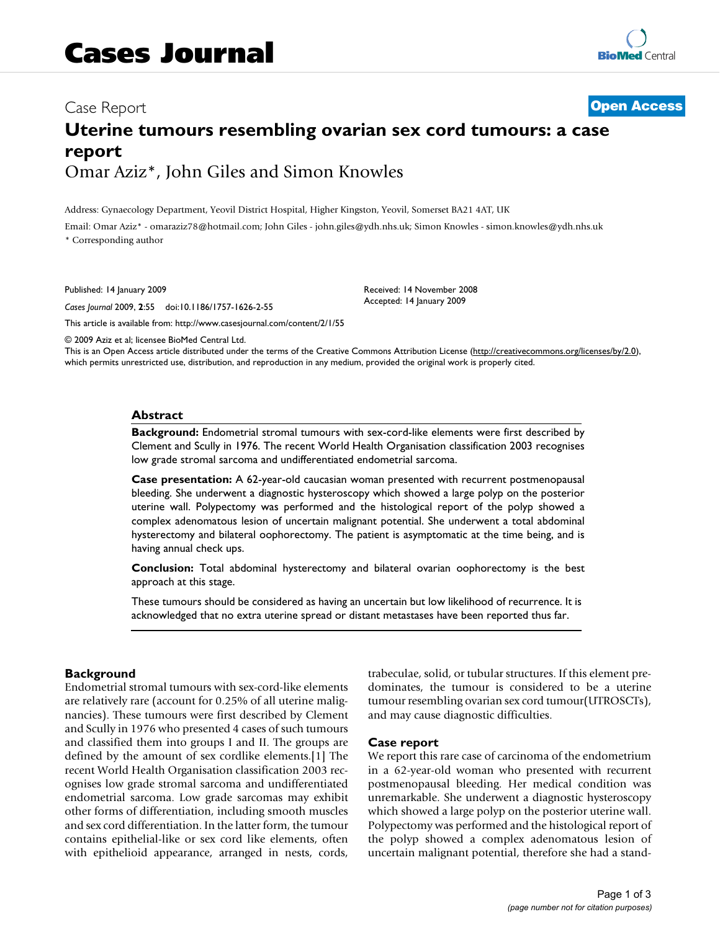# Case Report **[Open Access](http://www.biomedcentral.com/info/about/charter/) Uterine tumours resembling ovarian sex cord tumours: a case report** Omar Aziz\*, John Giles and Simon Knowles

Address: Gynaecology Department, Yeovil District Hospital, Higher Kingston, Yeovil, Somerset BA21 4AT, UK

Email: Omar Aziz\* - omaraziz78@hotmail.com; John Giles - john.giles@ydh.nhs.uk; Simon Knowles - simon.knowles@ydh.nhs.uk \* Corresponding author

Published: 14 January 2009

*Cases Journal* 2009, **2**:55 doi:10.1186/1757-1626-2-55

[This article is available from: http://www.casesjournal.com/content/2/1/55](http://www.casesjournal.com/content/2/1/55)

© 2009 Aziz et al; licensee BioMed Central Ltd.

This is an Open Access article distributed under the terms of the Creative Commons Attribution License [\(http://creativecommons.org/licenses/by/2.0\)](http://creativecommons.org/licenses/by/2.0), which permits unrestricted use, distribution, and reproduction in any medium, provided the original work is properly cited.

Received: 14 November 2008 Accepted: 14 January 2009

#### **Abstract**

**Background:** Endometrial stromal tumours with sex-cord-like elements were first described by Clement and Scully in 1976. The recent World Health Organisation classification 2003 recognises low grade stromal sarcoma and undifferentiated endometrial sarcoma.

**Case presentation:** A 62-year-old caucasian woman presented with recurrent postmenopausal bleeding. She underwent a diagnostic hysteroscopy which showed a large polyp on the posterior uterine wall. Polypectomy was performed and the histological report of the polyp showed a complex adenomatous lesion of uncertain malignant potential. She underwent a total abdominal hysterectomy and bilateral oophorectomy. The patient is asymptomatic at the time being, and is having annual check ups.

**Conclusion:** Total abdominal hysterectomy and bilateral ovarian oophorectomy is the best approach at this stage.

These tumours should be considered as having an uncertain but low likelihood of recurrence. It is acknowledged that no extra uterine spread or distant metastases have been reported thus far.

#### **Background**

Endometrial stromal tumours with sex-cord-like elements are relatively rare (account for 0.25% of all uterine malignancies). These tumours were first described by Clement and Scully in 1976 who presented 4 cases of such tumours and classified them into groups I and II. The groups are defined by the amount of sex cordlike elements.[1] The recent World Health Organisation classification 2003 recognises low grade stromal sarcoma and undifferentiated endometrial sarcoma. Low grade sarcomas may exhibit other forms of differentiation, including smooth muscles and sex cord differentiation. In the latter form, the tumour contains epithelial-like or sex cord like elements, often with epithelioid appearance, arranged in nests, cords, trabeculae, solid, or tubular structures. If this element predominates, the tumour is considered to be a uterine tumour resembling ovarian sex cord tumour(UTROSCTs), and may cause diagnostic difficulties.

#### **Case report**

We report this rare case of carcinoma of the endometrium in a 62-year-old woman who presented with recurrent postmenopausal bleeding. Her medical condition was unremarkable. She underwent a diagnostic hysteroscopy which showed a large polyp on the posterior uterine wall. Polypectomy was performed and the histological report of the polyp showed a complex adenomatous lesion of uncertain malignant potential, therefore she had a stand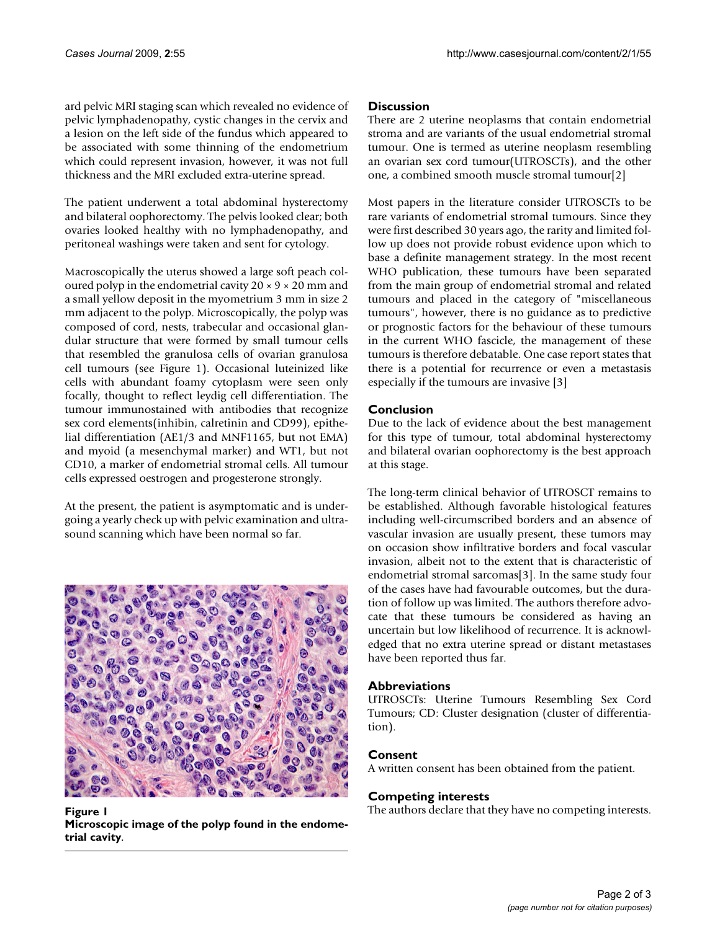ard pelvic MRI staging scan which revealed no evidence of pelvic lymphadenopathy, cystic changes in the cervix and a lesion on the left side of the fundus which appeared to be associated with some thinning of the endometrium which could represent invasion, however, it was not full thickness and the MRI excluded extra-uterine spread.

The patient underwent a total abdominal hysterectomy and bilateral oophorectomy. The pelvis looked clear; both ovaries looked healthy with no lymphadenopathy, and peritoneal washings were taken and sent for cytology.

Macroscopically the uterus showed a large soft peach coloured polyp in the endometrial cavity  $20 \times 9 \times 20$  mm and a small yellow deposit in the myometrium 3 mm in size 2 mm adjacent to the polyp. Microscopically, the polyp was composed of cord, nests, trabecular and occasional glandular structure that were formed by small tumour cells that resembled the granulosa cells of ovarian granulosa cell tumours (see Figure 1). Occasional luteinized like cells with abundant foamy cytoplasm were seen only focally, thought to reflect leydig cell differentiation. The tumour immunostained with antibodies that recognize sex cord elements(inhibin, calretinin and CD99), epithelial differentiation (AE1/3 and MNF1165, but not EMA) and myoid (a mesenchymal marker) and WT1, but not CD10, a marker of endometrial stromal cells. All tumour cells expressed oestrogen and progesterone strongly.

At the present, the patient is asymptomatic and is undergoing a yearly check up with pelvic examination and ultrasound scanning which have been normal so far.



**Microscopic image of the polyp found in the endometrial cavity**.

# **Discussion**

There are 2 uterine neoplasms that contain endometrial stroma and are variants of the usual endometrial stromal tumour. One is termed as uterine neoplasm resembling an ovarian sex cord tumour(UTROSCTs), and the other one, a combined smooth muscle stromal tumour[2]

Most papers in the literature consider UTROSCTs to be rare variants of endometrial stromal tumours. Since they were first described 30 years ago, the rarity and limited follow up does not provide robust evidence upon which to base a definite management strategy. In the most recent WHO publication, these tumours have been separated from the main group of endometrial stromal and related tumours and placed in the category of "miscellaneous tumours", however, there is no guidance as to predictive or prognostic factors for the behaviour of these tumours in the current WHO fascicle, the management of these tumours is therefore debatable. One case report states that there is a potential for recurrence or even a metastasis especially if the tumours are invasive [3]

# **Conclusion**

Due to the lack of evidence about the best management for this type of tumour, total abdominal hysterectomy and bilateral ovarian oophorectomy is the best approach at this stage.

The long-term clinical behavior of UTROSCT remains to be established. Although favorable histological features including well-circumscribed borders and an absence of vascular invasion are usually present, these tumors may on occasion show infiltrative borders and focal vascular invasion, albeit not to the extent that is characteristic of endometrial stromal sarcomas[3]. In the same study four of the cases have had favourable outcomes, but the duration of follow up was limited. The authors therefore advocate that these tumours be considered as having an uncertain but low likelihood of recurrence. It is acknowledged that no extra uterine spread or distant metastases have been reported thus far.

# **Abbreviations**

UTROSCTs: Uterine Tumours Resembling Sex Cord Tumours; CD: Cluster designation (cluster of differentiation).

# **Consent**

A written consent has been obtained from the patient.

## **Competing interests**

**Figure 1 The authors declare that they have no competing interests. its Figure 1 found in the endometrial cases**